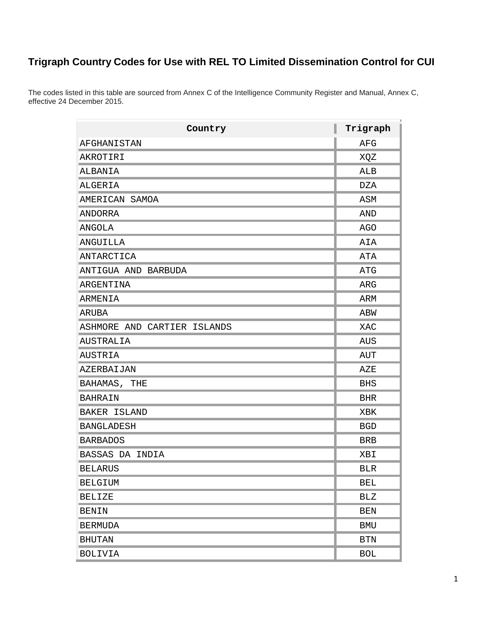## **Trigraph Country Codes for Use with REL TO Limited Dissemination Control for CUI**

The codes listed in this table are sourced from Annex C of the Intelligence Community Register and Manual, Annex C, effective 24 December 2015.

| Country                     | Trigraph             |
|-----------------------------|----------------------|
| AFGHANISTAN                 | AFG                  |
| AKROTIRI                    | XQZ                  |
| ALBANIA                     | ALB                  |
| ALGERIA                     | DZA                  |
| AMERICAN SAMOA              | ASM                  |
| ANDORRA                     | AND                  |
| ANGOLA                      | AGO                  |
| ANGUILLA                    | AIA                  |
| ANTARCTICA                  | ATA                  |
| ANTIGUA AND BARBUDA         | ATG                  |
| ARGENTINA                   | ARG                  |
| <b>ARMENIA</b>              | ARM                  |
| ARUBA                       | ABW                  |
| ASHMORE AND CARTIER ISLANDS | XAC                  |
| AUSTRALIA                   | AUS                  |
| AUSTRIA                     | AUT                  |
| AZERBAIJAN                  | AZE                  |
| BAHAMAS, THE                | <b>BHS</b>           |
| <b>BAHRAIN</b>              | <b>BHR</b>           |
| BAKER ISLAND                | XBK                  |
| <b>BANGLADESH</b>           | <b>BGD</b>           |
| <b>BARBADOS</b>             | <b>BRB</b>           |
| BASSAS DA INDIA             | XBI                  |
| <b>BELARUS</b>              | <b>BLR</b>           |
| <b>BELGIUM</b>              | <b>BEL</b>           |
| <b>BELIZE</b>               | BLZ                  |
| <b>BENIN</b>                | <b>BEN</b>           |
| <b>BERMUDA</b>              | <b>BMU</b>           |
| <b>BHUTAN</b>               | $\operatorname{BTN}$ |
| <b>BOLIVIA</b>              | <b>BOL</b>           |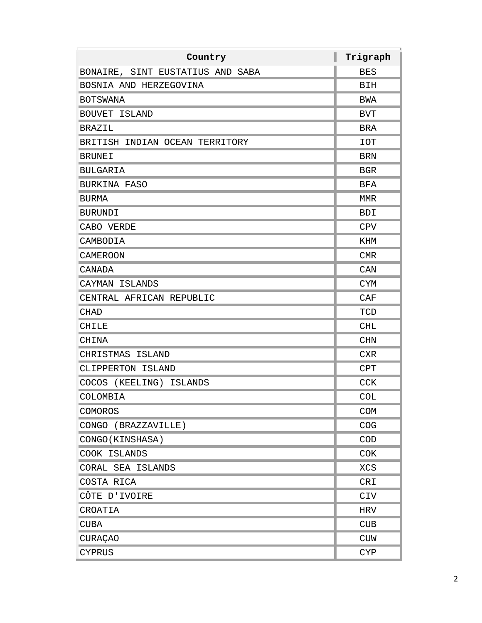| Country                          | Trigraph   |
|----------------------------------|------------|
| BONAIRE, SINT EUSTATIUS AND SABA | <b>BES</b> |
| BOSNIA AND HERZEGOVINA           | BIH        |
| <b>BOTSWANA</b>                  | BWA        |
| BOUVET ISLAND                    | <b>BVT</b> |
| <b>BRAZIL</b>                    | <b>BRA</b> |
| BRITISH INDIAN OCEAN TERRITORY   | <b>IOT</b> |
| <b>BRUNEI</b>                    | <b>BRN</b> |
| <b>BULGARIA</b>                  | <b>BGR</b> |
| BURKINA FASO                     | <b>BFA</b> |
| <b>BURMA</b>                     | MMR        |
| <b>BURUNDI</b>                   | <b>BDI</b> |
| CABO VERDE                       | <b>CPV</b> |
| CAMBODIA                         | KHM        |
| <b>CAMEROON</b>                  | <b>CMR</b> |
| CANADA                           | CAN        |
| CAYMAN ISLANDS                   | <b>CYM</b> |
| CENTRAL AFRICAN REPUBLIC         | CAF        |
| <b>CHAD</b>                      | TCD        |
| CHILE                            | <b>CHL</b> |
| CHINA                            | <b>CHN</b> |
| CHRISTMAS ISLAND                 | <b>CXR</b> |
| CLIPPERTON ISLAND                | <b>CPT</b> |
| COCOS (KEELING) ISLANDS          | <b>CCK</b> |
| COLOMBIA                         | <b>COL</b> |
| COMOROS                          | COM        |
| CONGO (BRAZZAVILLE)              | COG        |
| CONGO (KINSHASA)                 | COD        |
| COOK ISLANDS                     | <b>COK</b> |
| CORAL SEA ISLANDS                | <b>XCS</b> |
| COSTA RICA                       | CRI        |
| CÔTE D'IVOIRE                    | <b>CIV</b> |
| CROATIA                          | HRV        |
| <b>CUBA</b>                      | <b>CUB</b> |
| <b>CURAÇAO</b>                   | <b>CUW</b> |
| <b>CYPRUS</b>                    | <b>CYP</b> |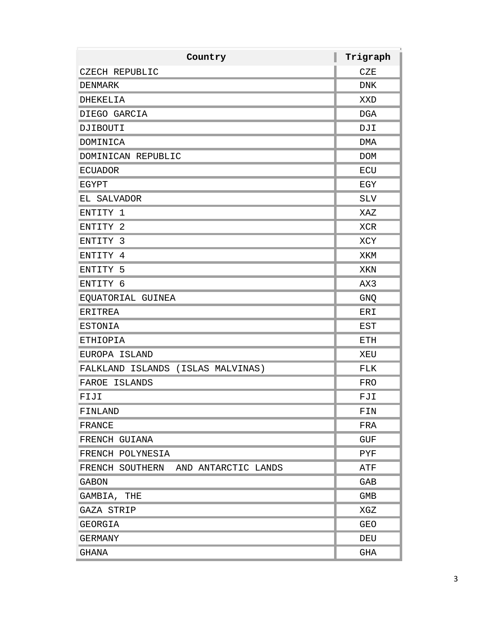| Country                             | Trigraph   |
|-------------------------------------|------------|
| CZECH REPUBLIC                      | CZE        |
| <b>DENMARK</b>                      | <b>DNK</b> |
| DHEKELIA                            | XXD        |
| DIEGO GARCIA                        | <b>DGA</b> |
| DJIBOUTI                            | DJI        |
| DOMINICA                            | DMA        |
| DOMINICAN REPUBLIC                  | <b>DOM</b> |
| <b>ECUADOR</b>                      | ECU        |
| EGYPT                               | EGY        |
| EL SALVADOR                         | SLV        |
| ENTITY 1                            | XAZ        |
| ENTITY 2                            | <b>XCR</b> |
| ENTITY 3                            | XCY        |
| ENTITY 4                            | XKM        |
| ENTITY 5                            | XKN        |
| ENTITY 6                            | AX3        |
| EQUATORIAL GUINEA                   | GNQ        |
| <b>ERITREA</b>                      | ERI        |
| <b>ESTONIA</b>                      | EST        |
| <b>ETHIOPIA</b>                     | ETH        |
| EUROPA ISLAND                       | XEU        |
| FALKLAND ISLANDS (ISLAS MALVINAS)   | FLK        |
| FAROE<br>ISLANDS                    | FRO        |
| FIJI                                | FJI        |
| FINLAND                             | FIN        |
| FRANCE                              | FRA        |
| FRENCH GUIANA                       | GUF        |
| FRENCH POLYNESIA                    | PYF        |
| FRENCH SOUTHERN AND ANTARCTIC LANDS | ATF        |
| <b>GABON</b>                        | GAB        |
| GAMBIA, THE                         | GMB        |
| GAZA STRIP                          | XGZ        |
| GEORGIA                             | <b>GEO</b> |
| GERMANY                             | DEU        |
| GHANA                               | GHA        |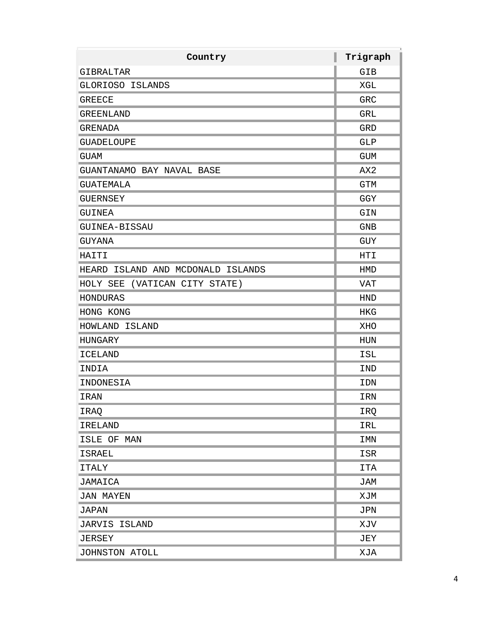| Country                           | I<br>Trigraph |
|-----------------------------------|---------------|
| GIBRALTAR                         | GIB           |
| GLORIOSO ISLANDS                  | XGL           |
| <b>GREECE</b>                     | GRC           |
| GREENLAND                         | GRL           |
| GRENADA                           | <b>GRD</b>    |
| <b>GUADELOUPE</b>                 | GLP           |
| <b>GUAM</b>                       | GUM           |
| GUANTANAMO BAY NAVAL BASE         | AX2           |
| GUATEMALA                         | <b>GTM</b>    |
| GUERNSEY                          | GGY           |
| GUINEA                            | GIN           |
| GUINEA-BISSAU                     | <b>GNB</b>    |
| GUYANA                            | GUY           |
| HAITI                             | HTI           |
| HEARD ISLAND AND MCDONALD ISLANDS | HMD           |
| HOLY SEE (VATICAN CITY STATE)     | VAT           |
| HONDURAS                          | <b>HND</b>    |
| HONG KONG                         | HKG           |
| HOWLAND ISLAND                    | XHO           |
| <b>HUNGARY</b>                    | HUN           |
| ICELAND                           | ISL           |
| INDIA                             | <b>IND</b>    |
| INDONESIA                         | IDN           |
| IRAN                              | IRN           |
| IRAQ                              | IRQ           |
| IRELAND                           | IRL           |
| ISLE OF MAN                       | <b>IMN</b>    |
| <b>ISRAEL</b>                     | ISR           |
| <b>ITALY</b>                      | ITA           |
| JAMAICA                           | JAM           |
| <b>JAN MAYEN</b>                  | XJM           |
| JAPAN                             | JPN           |
| JARVIS ISLAND                     | XJV           |
| JERSEY                            | JEY           |
| JOHNSTON ATOLL                    | XJA           |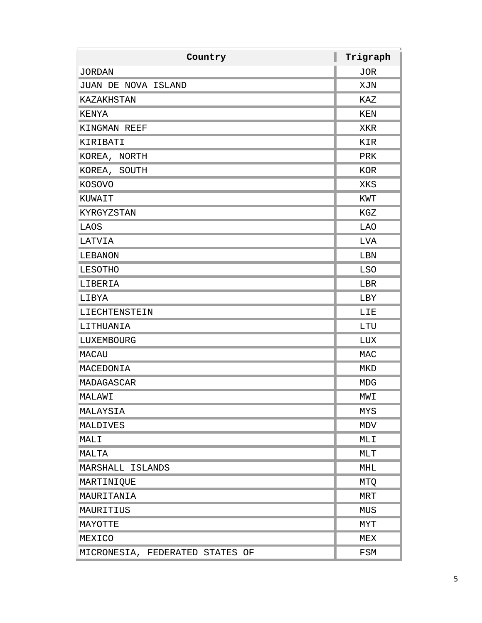| Country                         | Trigraph   |
|---------------------------------|------------|
| <b>JORDAN</b>                   | JOR        |
| JUAN DE NOVA ISLAND             | XJN        |
| KAZAKHSTAN                      | KAZ        |
| KENYA                           | KEN        |
| KINGMAN REEF                    | XKR        |
| KIRIBATI                        | KIR        |
| KOREA, NORTH                    | PRK        |
| KOREA, SOUTH                    | KOR        |
| KOSOVO                          | XKS        |
| KUWAIT                          | KWT        |
| KYRGYZSTAN                      | KGZ        |
| LAOS                            | LAO        |
| LATVIA                          | LVA        |
| LEBANON                         | LBN        |
| LESOTHO                         | <b>LSO</b> |
| LIBERIA                         | LBR        |
| LIBYA                           | LBY        |
| LIECHTENSTEIN                   | LIE        |
| LITHUANIA                       | LTU        |
| LUXEMBOURG                      | LUX        |
| MACAU                           | MAC        |
| MACEDONIA                       | MKD        |
| MADAGASCAR                      | MDG        |
| MALAWI                          | MWI        |
| MALAYSIA                        | MYS        |
| MALDIVES                        | MDV        |
| MALI                            | MLI        |
| MALTA                           | MLT        |
| MARSHALL ISLANDS                | MHL        |
| MARTINIQUE                      | MTQ        |
| MAURITANIA                      | <b>MRT</b> |
| MAURITIUS                       | MUS        |
| MAYOTTE                         | <b>MYT</b> |
| MEXICO                          | MEX        |
| MICRONESIA, FEDERATED STATES OF | FSM        |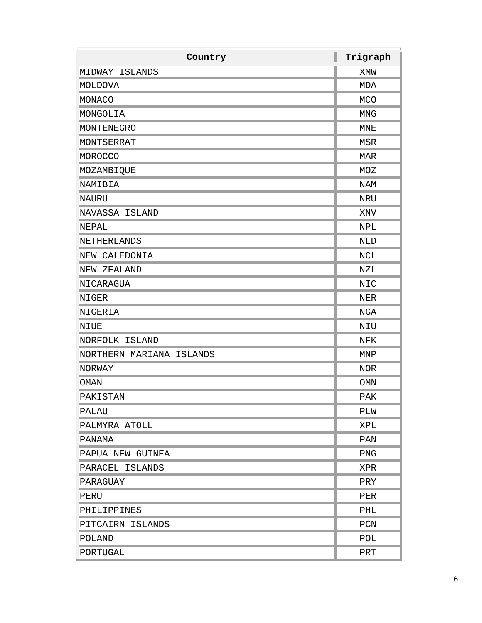| Country                  | Trigraph   |
|--------------------------|------------|
| MIDWAY ISLANDS           | XMW        |
| MOLDOVA                  | MDA        |
| MONACO                   | <b>MCO</b> |
| MONGOLIA                 | <b>MNG</b> |
| MONTENEGRO               | MNE        |
| MONTSERRAT               | <b>MSR</b> |
| <b>MOROCCO</b>           | <b>MAR</b> |
| MOZAMBIQUE               | MOZ        |
| NAMIBIA                  | NAM        |
| <b>NAURU</b>             | NRU        |
| NAVASSA ISLAND           | XNV        |
| NEPAL                    | <b>NPL</b> |
| NETHERLANDS              | <b>NLD</b> |
| NEW CALEDONIA            | NCL        |
| NEW ZEALAND              | NZL        |
| NICARAGUA                | <b>NIC</b> |
| NIGER                    | NER        |
| NIGERIA                  | NGA        |
| NIUE                     | NIU        |
| NORFOLK ISLAND           | NFK        |
| NORTHERN MARIANA ISLANDS | MNP        |
| NORWAY                   | <b>NOR</b> |
| <b>OMAN</b>              | <b>OMN</b> |
| PAKISTAN                 | <b>PAK</b> |
| PALAU                    | PLW        |
| PALMYRA ATOLL            | XPL        |
| PANAMA                   | PAN        |
| PAPUA NEW GUINEA         | PNG        |
| PARACEL ISLANDS          | XPR        |
| PARAGUAY                 | PRY        |
| PERU                     | PER        |
| PHILIPPINES              | PHL        |
| PITCAIRN ISLANDS         | PCN        |
| POLAND                   | POL        |
| PORTUGAL                 | PRT        |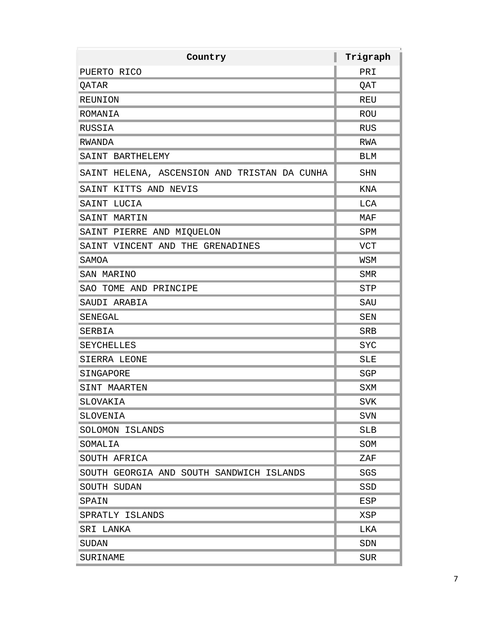| Country                                      | Trigraph   |
|----------------------------------------------|------------|
| PUERTO RICO                                  | PRI        |
| QATAR                                        | QAT        |
| REUNION                                      | REU        |
| ROMANIA                                      | ROU        |
| RUSSIA                                       | RUS        |
| RWANDA                                       | <b>RWA</b> |
| SAINT BARTHELEMY                             | BLM        |
| SAINT HELENA, ASCENSION AND TRISTAN DA CUNHA | <b>SHN</b> |
| SAINT KITTS AND NEVIS                        | KNA        |
| SAINT LUCIA                                  | LCA        |
| SAINT MARTIN                                 | MAF        |
| SAINT PIERRE AND MIQUELON                    | SPM        |
| SAINT VINCENT AND THE GRENADINES             | <b>VCT</b> |
| SAMOA                                        | WSM        |
| SAN MARINO                                   | <b>SMR</b> |
| SAO TOME AND PRINCIPE                        | <b>STP</b> |
| SAUDI ARABIA                                 | SAU        |
| SENEGAL                                      | SEN        |
| SERBIA                                       | SRB        |
| SEYCHELLES                                   | <b>SYC</b> |
| SIERRA LEONE                                 | <b>SLE</b> |
| SINGAPORE                                    | SGP        |
| SINT MAARTEN                                 | SXM        |
| SLOVAKIA                                     | <b>SVK</b> |
| SLOVENIA                                     | SVN        |
| SOLOMON ISLANDS                              | <b>SLB</b> |
| SOMALIA                                      | SOM        |
| SOUTH AFRICA                                 | ZAF        |
| SOUTH GEORGIA AND SOUTH SANDWICH ISLANDS     | SGS        |
| SOUTH SUDAN                                  | SSD        |
| SPAIN                                        | ESP        |
| SPRATLY ISLANDS                              | XSP        |
| SRI LANKA                                    | LKA        |
| SUDAN                                        | SDN        |
| SURINAME                                     | SUR        |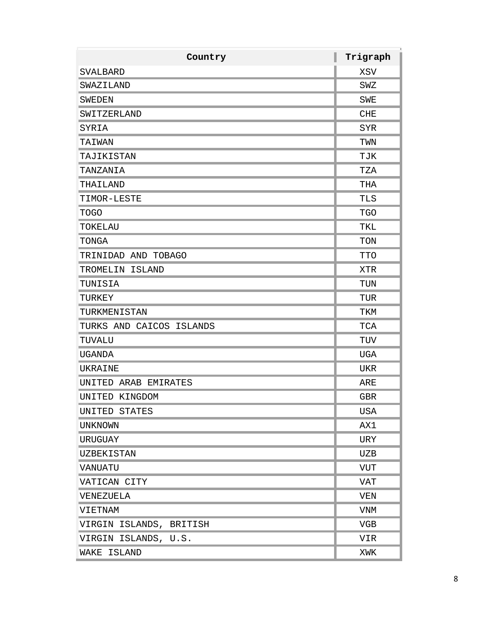| Country                  | Trigraph   |
|--------------------------|------------|
| <b>SVALBARD</b>          | XSV        |
| SWAZILAND                | SWZ        |
| <b>SWEDEN</b>            | <b>SWE</b> |
| SWITZERLAND              | <b>CHE</b> |
| SYRIA                    | <b>SYR</b> |
| TAIWAN                   | TWN        |
| TAJIKISTAN               | TJK        |
| TANZANIA                 | TZA        |
| THAILAND                 | THA        |
| TIMOR-LESTE              | TLS        |
| <b>TOGO</b>              | <b>TGO</b> |
| TOKELAU                  | TKL        |
| TONGA                    | TON        |
| TRINIDAD AND TOBAGO      | <b>TTO</b> |
| TROMELIN ISLAND          | <b>XTR</b> |
| TUNISIA                  | TUN        |
| TURKEY                   | TUR        |
| TURKMENISTAN             | TKM        |
| TURKS AND CAICOS ISLANDS | TCA        |
| TUVALU                   | TUV        |
| <b>UGANDA</b>            | UGA        |
| UKRAINE                  | UKR        |
| UNITED ARAB EMIRATES     | ARE        |
| UNITED KINGDOM           | <b>GBR</b> |
| UNITED STATES            | <b>USA</b> |
| <b>UNKNOWN</b>           | AX1        |
| URUGUAY                  | URY        |
| <b>UZBEKISTAN</b>        | UZB        |
| VANUATU                  | <b>VUT</b> |
| VATICAN CITY             | <b>VAT</b> |
| VENEZUELA                | <b>VEN</b> |
| VIETNAM                  | <b>VNM</b> |
| VIRGIN ISLANDS, BRITISH  | <b>VGB</b> |
| VIRGIN ISLANDS, U.S.     | VIR        |
| WAKE ISLAND              | XWK        |